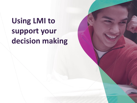# **Using LMI to support your decision making**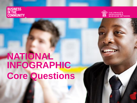**BUSINESS<br>IN THE<br>COMMUNITY** 



THE PRINCE'S<br>RESPONSIBLE **BUSINESS NETWORK** 

# **NATIONAL INFOGRAPHIC Core Questions**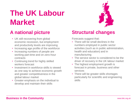# **The UK Labour Market**

- UK still recovering from global economic recession, but employment and productivity levels are improving
- Increasing age profile of the workforce
- Increasing numbers of people are working part-time and on zero-hour contracts
- Continuing trend for highly skilled workers forecast
- Investment in workforce skills is viewed as one way to achieve economic growth and greater competitiveness in the global labour market
- Greater emphasis on the individual to develop and maintain their skills



## **A national picture Structural changes**

Forecasts suggest that:

- There will be small declines in the numbers employed in public sector activities (such as in public administration, health and education) and in manufacturing
- The service sector is considered to be the driver of recovery in the UK labour market
- The highest employment growth is forecast in private, business and other services
- There will be greater skills shortages particularly for scientific and engineering skills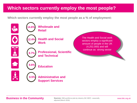## **Which sectors currently employ the most people?**

**Which sectors currently employ the most people as a % of employment:**

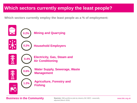## **Which sectors currently employ the least people?**

**Which sectors currently employ the least people as a % of employment:**

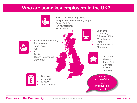### **Who are some key employers in the UK?**



### **Business in the Community** Sources: www.prospects.ac.uk **Business in the Community** Sources: www.prospects.ac.uk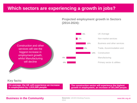### **Which sectors are experiencing a growth in jobs?**

**Projected employment growth in Sectors (2014-2024):**



### **Key facts:**

**On average, the UK will experience an increase in employment by 1,810,000 people.**

**The construction sector will experience the highest growth in employment, an increase of 301,000 people.**

### **Business in the Community Sources: UKCES Working Futures, Supplement Supplement Community Sources: UKCES Working Futures,** Water Manusberry Website.org.uk